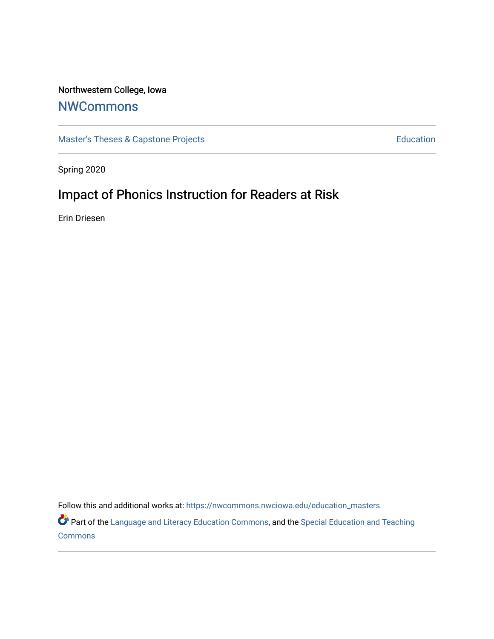## Northwestern College, Iowa

# **[NWCommons](https://nwcommons.nwciowa.edu/)**

[Master's Theses & Capstone Projects](https://nwcommons.nwciowa.edu/education_masters) **Education** Education

Spring 2020

# Impact of Phonics Instruction for Readers at Risk

Erin Driesen

Follow this and additional works at: [https://nwcommons.nwciowa.edu/education\\_masters](https://nwcommons.nwciowa.edu/education_masters?utm_source=nwcommons.nwciowa.edu%2Feducation_masters%2F202&utm_medium=PDF&utm_campaign=PDFCoverPages)

Part of the [Language and Literacy Education Commons,](http://network.bepress.com/hgg/discipline/1380?utm_source=nwcommons.nwciowa.edu%2Feducation_masters%2F202&utm_medium=PDF&utm_campaign=PDFCoverPages) and the [Special Education and Teaching](http://network.bepress.com/hgg/discipline/801?utm_source=nwcommons.nwciowa.edu%2Feducation_masters%2F202&utm_medium=PDF&utm_campaign=PDFCoverPages) **[Commons](http://network.bepress.com/hgg/discipline/801?utm_source=nwcommons.nwciowa.edu%2Feducation_masters%2F202&utm_medium=PDF&utm_campaign=PDFCoverPages)**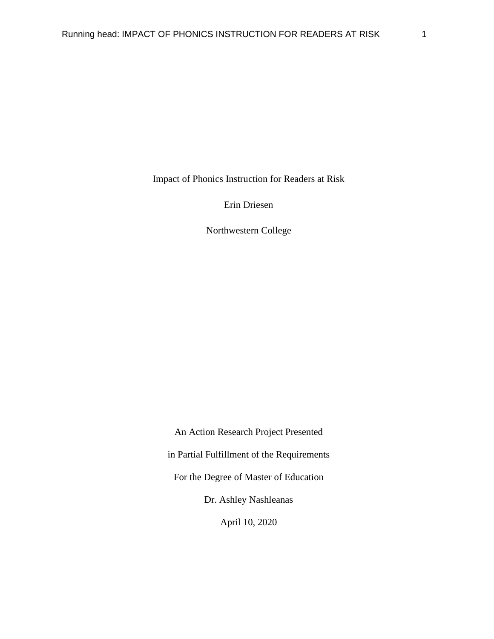Impact of Phonics Instruction for Readers at Risk

Erin Driesen

Northwestern College

An Action Research Project Presented in Partial Fulfillment of the Requirements For the Degree of Master of Education Dr. Ashley Nashleanas April 10, 2020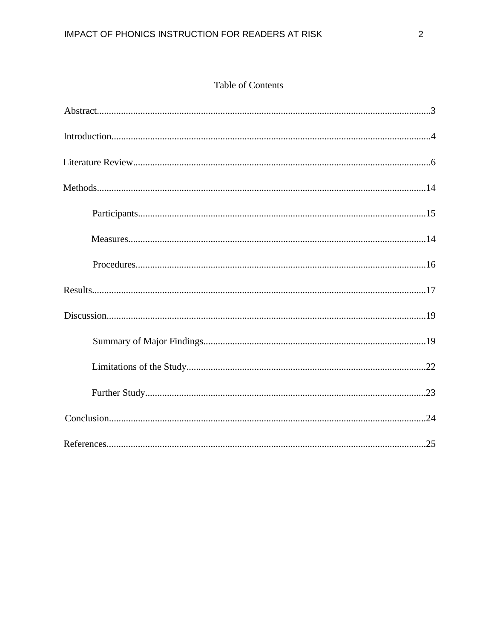## **Table of Contents**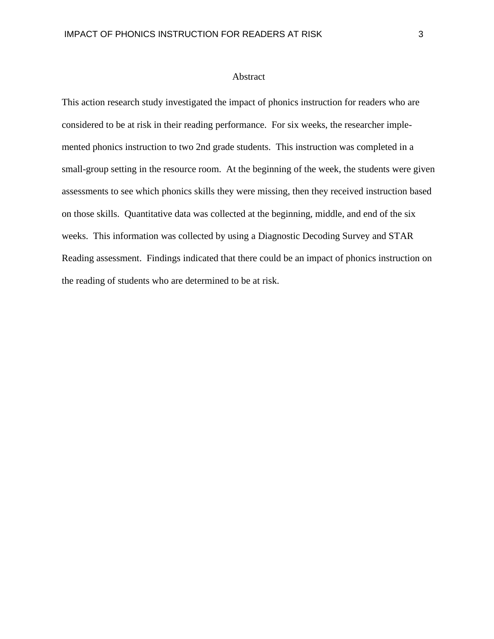#### Abstract

This action research study investigated the impact of phonics instruction for readers who are considered to be at risk in their reading performance. For six weeks, the researcher implemented phonics instruction to two 2nd grade students. This instruction was completed in a small-group setting in the resource room. At the beginning of the week, the students were given assessments to see which phonics skills they were missing, then they received instruction based on those skills. Quantitative data was collected at the beginning, middle, and end of the six weeks. This information was collected by using a Diagnostic Decoding Survey and STAR Reading assessment. Findings indicated that there could be an impact of phonics instruction on the reading of students who are determined to be at risk.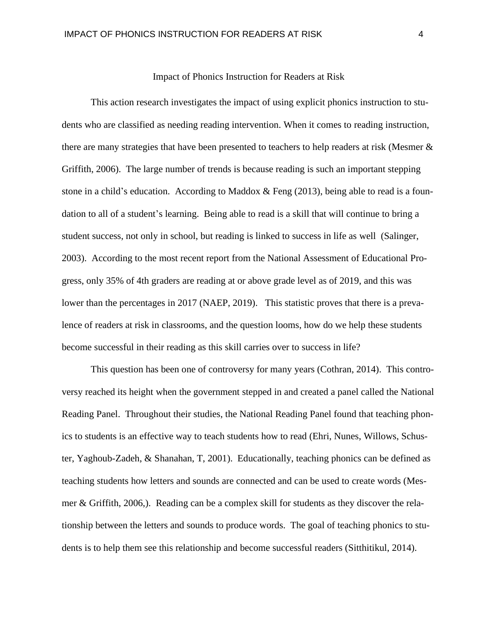## Impact of Phonics Instruction for Readers at Risk

This action research investigates the impact of using explicit phonics instruction to students who are classified as needing reading intervention. When it comes to reading instruction, there are many strategies that have been presented to teachers to help readers at risk (Mesmer & Griffith, 2006). The large number of trends is because reading is such an important stepping stone in a child's education. According to Maddox & Feng (2013), being able to read is a foundation to all of a student's learning. Being able to read is a skill that will continue to bring a student success, not only in school, but reading is linked to success in life as well (Salinger, 2003). According to the most recent report from the National Assessment of Educational Progress, only 35% of 4th graders are reading at or above grade level as of 2019, and this was lower than the percentages in 2017 (NAEP, 2019). This statistic proves that there is a prevalence of readers at risk in classrooms, and the question looms, how do we help these students become successful in their reading as this skill carries over to success in life?

This question has been one of controversy for many years (Cothran, 2014). This controversy reached its height when the government stepped in and created a panel called the National Reading Panel. Throughout their studies, the National Reading Panel found that teaching phonics to students is an effective way to teach students how to read (Ehri, Nunes, Willows, Schuster, Yaghoub-Zadeh, & Shanahan, T, 2001). Educationally, teaching phonics can be defined as teaching students how letters and sounds are connected and can be used to create words (Mesmer & Griffith, 2006,). Reading can be a complex skill for students as they discover the relationship between the letters and sounds to produce words. The goal of teaching phonics to students is to help them see this relationship and become successful readers (Sitthitikul, 2014).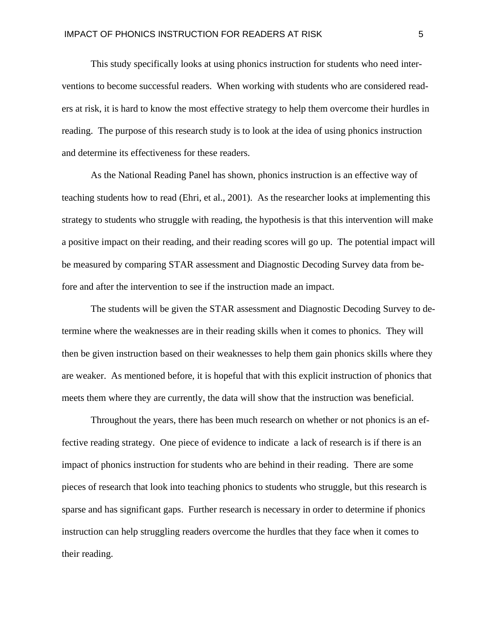This study specifically looks at using phonics instruction for students who need interventions to become successful readers. When working with students who are considered readers at risk, it is hard to know the most effective strategy to help them overcome their hurdles in reading. The purpose of this research study is to look at the idea of using phonics instruction and determine its effectiveness for these readers.

As the National Reading Panel has shown, phonics instruction is an effective way of teaching students how to read (Ehri, et al., 2001). As the researcher looks at implementing this strategy to students who struggle with reading, the hypothesis is that this intervention will make a positive impact on their reading, and their reading scores will go up. The potential impact will be measured by comparing STAR assessment and Diagnostic Decoding Survey data from before and after the intervention to see if the instruction made an impact.

The students will be given the STAR assessment and Diagnostic Decoding Survey to determine where the weaknesses are in their reading skills when it comes to phonics. They will then be given instruction based on their weaknesses to help them gain phonics skills where they are weaker. As mentioned before, it is hopeful that with this explicit instruction of phonics that meets them where they are currently, the data will show that the instruction was beneficial.

Throughout the years, there has been much research on whether or not phonics is an effective reading strategy. One piece of evidence to indicate a lack of research is if there is an impact of phonics instruction for students who are behind in their reading. There are some pieces of research that look into teaching phonics to students who struggle, but this research is sparse and has significant gaps. Further research is necessary in order to determine if phonics instruction can help struggling readers overcome the hurdles that they face when it comes to their reading.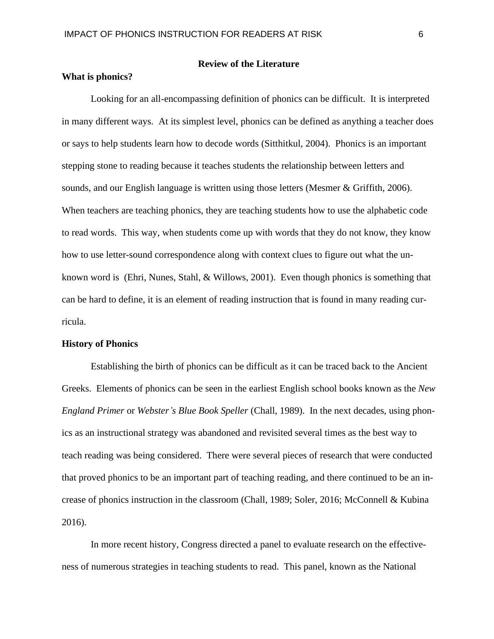## **Review of the Literature**

## **What is phonics?**

Looking for an all-encompassing definition of phonics can be difficult. It is interpreted in many different ways. At its simplest level, phonics can be defined as anything a teacher does or says to help students learn how to decode words (Sitthitkul, 2004). Phonics is an important stepping stone to reading because it teaches students the relationship between letters and sounds, and our English language is written using those letters (Mesmer & Griffith, 2006). When teachers are teaching phonics, they are teaching students how to use the alphabetic code to read words. This way, when students come up with words that they do not know, they know how to use letter-sound correspondence along with context clues to figure out what the unknown word is (Ehri, Nunes, Stahl, & Willows, 2001). Even though phonics is something that can be hard to define, it is an element of reading instruction that is found in many reading curricula.

## **History of Phonics**

Establishing the birth of phonics can be difficult as it can be traced back to the Ancient Greeks. Elements of phonics can be seen in the earliest English school books known as the *New England Primer* or *Webster's Blue Book Speller* (Chall, 1989). In the next decades, using phonics as an instructional strategy was abandoned and revisited several times as the best way to teach reading was being considered. There were several pieces of research that were conducted that proved phonics to be an important part of teaching reading, and there continued to be an increase of phonics instruction in the classroom (Chall, 1989; Soler, 2016; McConnell & Kubina 2016).

In more recent history, Congress directed a panel to evaluate research on the effectiveness of numerous strategies in teaching students to read. This panel, known as the National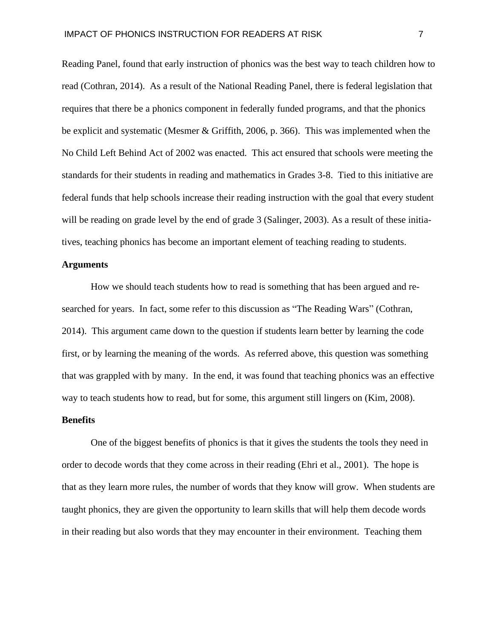Reading Panel, found that early instruction of phonics was the best way to teach children how to read (Cothran, 2014). As a result of the National Reading Panel, there is federal legislation that requires that there be a phonics component in federally funded programs, and that the phonics be explicit and systematic (Mesmer & Griffith, 2006, p. 366). This was implemented when the No Child Left Behind Act of 2002 was enacted. This act ensured that schools were meeting the standards for their students in reading and mathematics in Grades 3-8. Tied to this initiative are federal funds that help schools increase their reading instruction with the goal that every student will be reading on grade level by the end of grade 3 (Salinger, 2003). As a result of these initiatives, teaching phonics has become an important element of teaching reading to students.

#### **Arguments**

How we should teach students how to read is something that has been argued and researched for years. In fact, some refer to this discussion as "The Reading Wars" (Cothran, 2014). This argument came down to the question if students learn better by learning the code first, or by learning the meaning of the words. As referred above, this question was something that was grappled with by many. In the end, it was found that teaching phonics was an effective way to teach students how to read, but for some, this argument still lingers on (Kim, 2008).

## **Benefits**

One of the biggest benefits of phonics is that it gives the students the tools they need in order to decode words that they come across in their reading (Ehri et al., 2001). The hope is that as they learn more rules, the number of words that they know will grow. When students are taught phonics, they are given the opportunity to learn skills that will help them decode words in their reading but also words that they may encounter in their environment. Teaching them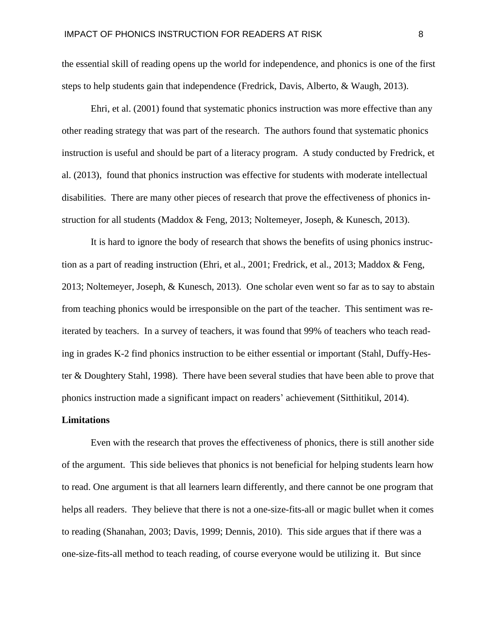the essential skill of reading opens up the world for independence, and phonics is one of the first steps to help students gain that independence (Fredrick, Davis, Alberto, & Waugh, 2013).

Ehri, et al. (2001) found that systematic phonics instruction was more effective than any other reading strategy that was part of the research. The authors found that systematic phonics instruction is useful and should be part of a literacy program. A study conducted by Fredrick, et al. (2013), found that phonics instruction was effective for students with moderate intellectual disabilities. There are many other pieces of research that prove the effectiveness of phonics instruction for all students (Maddox & Feng, 2013; Noltemeyer, Joseph, & Kunesch, 2013).

It is hard to ignore the body of research that shows the benefits of using phonics instruction as a part of reading instruction (Ehri, et al., 2001; Fredrick, et al., 2013; Maddox & Feng, 2013; Noltemeyer, Joseph, & Kunesch, 2013). One scholar even went so far as to say to abstain from teaching phonics would be irresponsible on the part of the teacher. This sentiment was reiterated by teachers. In a survey of teachers, it was found that 99% of teachers who teach reading in grades K-2 find phonics instruction to be either essential or important (Stahl, Duffy-Hester & Doughtery Stahl, 1998). There have been several studies that have been able to prove that phonics instruction made a significant impact on readers' achievement (Sitthitikul, 2014).

## **Limitations**

Even with the research that proves the effectiveness of phonics, there is still another side of the argument. This side believes that phonics is not beneficial for helping students learn how to read. One argument is that all learners learn differently, and there cannot be one program that helps all readers. They believe that there is not a one-size-fits-all or magic bullet when it comes to reading (Shanahan, 2003; Davis, 1999; Dennis, 2010). This side argues that if there was a one-size-fits-all method to teach reading, of course everyone would be utilizing it. But since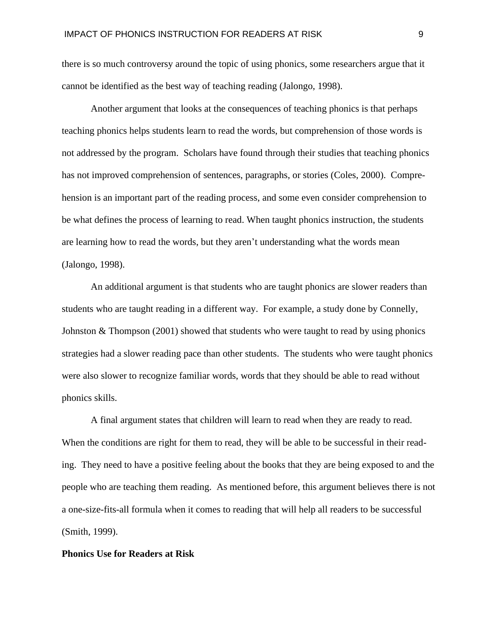there is so much controversy around the topic of using phonics, some researchers argue that it cannot be identified as the best way of teaching reading (Jalongo, 1998).

Another argument that looks at the consequences of teaching phonics is that perhaps teaching phonics helps students learn to read the words, but comprehension of those words is not addressed by the program. Scholars have found through their studies that teaching phonics has not improved comprehension of sentences, paragraphs, or stories (Coles, 2000). Comprehension is an important part of the reading process, and some even consider comprehension to be what defines the process of learning to read. When taught phonics instruction, the students are learning how to read the words, but they aren't understanding what the words mean (Jalongo, 1998).

An additional argument is that students who are taught phonics are slower readers than students who are taught reading in a different way. For example, a study done by Connelly, Johnston & Thompson (2001) showed that students who were taught to read by using phonics strategies had a slower reading pace than other students. The students who were taught phonics were also slower to recognize familiar words, words that they should be able to read without phonics skills.

A final argument states that children will learn to read when they are ready to read. When the conditions are right for them to read, they will be able to be successful in their reading. They need to have a positive feeling about the books that they are being exposed to and the people who are teaching them reading. As mentioned before, this argument believes there is not a one-size-fits-all formula when it comes to reading that will help all readers to be successful (Smith, 1999).

## **Phonics Use for Readers at Risk**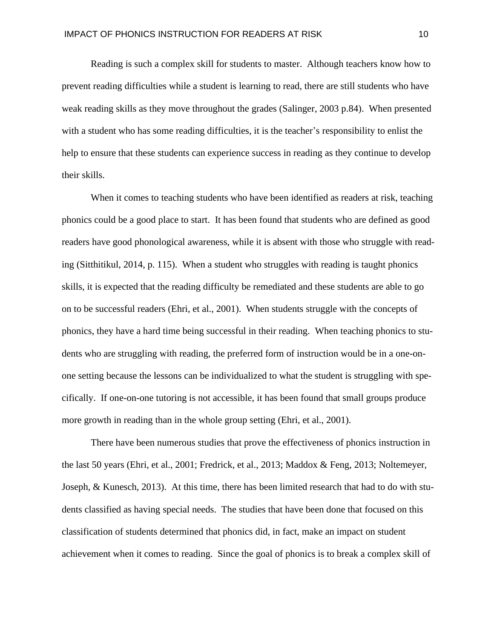Reading is such a complex skill for students to master. Although teachers know how to prevent reading difficulties while a student is learning to read, there are still students who have weak reading skills as they move throughout the grades (Salinger, 2003 p.84). When presented with a student who has some reading difficulties, it is the teacher's responsibility to enlist the help to ensure that these students can experience success in reading as they continue to develop their skills.

When it comes to teaching students who have been identified as readers at risk, teaching phonics could be a good place to start. It has been found that students who are defined as good readers have good phonological awareness, while it is absent with those who struggle with reading (Sitthitikul, 2014, p. 115). When a student who struggles with reading is taught phonics skills, it is expected that the reading difficulty be remediated and these students are able to go on to be successful readers (Ehri, et al., 2001). When students struggle with the concepts of phonics, they have a hard time being successful in their reading. When teaching phonics to students who are struggling with reading, the preferred form of instruction would be in a one-onone setting because the lessons can be individualized to what the student is struggling with specifically. If one-on-one tutoring is not accessible, it has been found that small groups produce more growth in reading than in the whole group setting (Ehri, et al., 2001).

There have been numerous studies that prove the effectiveness of phonics instruction in the last 50 years (Ehri, et al., 2001; Fredrick, et al., 2013; Maddox & Feng, 2013; Noltemeyer, Joseph, & Kunesch, 2013). At this time, there has been limited research that had to do with students classified as having special needs. The studies that have been done that focused on this classification of students determined that phonics did, in fact, make an impact on student achievement when it comes to reading. Since the goal of phonics is to break a complex skill of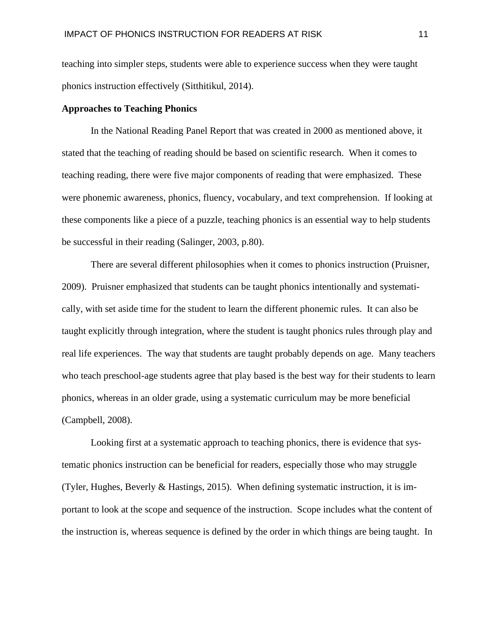teaching into simpler steps, students were able to experience success when they were taught phonics instruction effectively (Sitthitikul, 2014).

## **Approaches to Teaching Phonics**

In the National Reading Panel Report that was created in 2000 as mentioned above, it stated that the teaching of reading should be based on scientific research. When it comes to teaching reading, there were five major components of reading that were emphasized. These were phonemic awareness, phonics, fluency, vocabulary, and text comprehension. If looking at these components like a piece of a puzzle, teaching phonics is an essential way to help students be successful in their reading (Salinger, 2003, p.80).

There are several different philosophies when it comes to phonics instruction (Pruisner, 2009). Pruisner emphasized that students can be taught phonics intentionally and systematically, with set aside time for the student to learn the different phonemic rules. It can also be taught explicitly through integration, where the student is taught phonics rules through play and real life experiences. The way that students are taught probably depends on age. Many teachers who teach preschool-age students agree that play based is the best way for their students to learn phonics, whereas in an older grade, using a systematic curriculum may be more beneficial (Campbell, 2008).

Looking first at a systematic approach to teaching phonics, there is evidence that systematic phonics instruction can be beneficial for readers, especially those who may struggle (Tyler, Hughes, Beverly & Hastings, 2015). When defining systematic instruction, it is important to look at the scope and sequence of the instruction. Scope includes what the content of the instruction is, whereas sequence is defined by the order in which things are being taught. In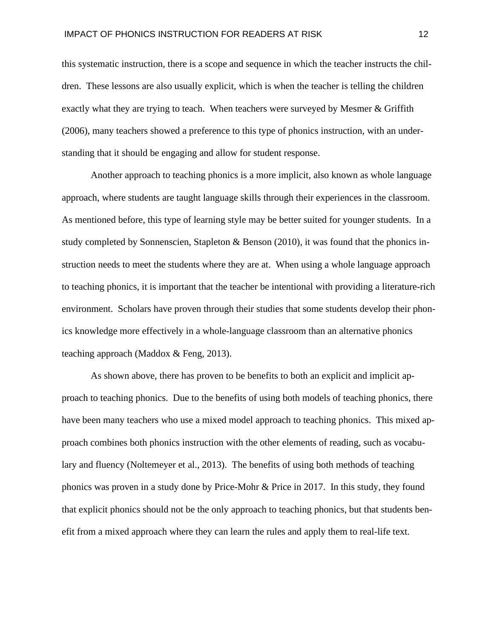this systematic instruction, there is a scope and sequence in which the teacher instructs the children. These lessons are also usually explicit, which is when the teacher is telling the children exactly what they are trying to teach. When teachers were surveyed by Mesmer & Griffith (2006), many teachers showed a preference to this type of phonics instruction, with an understanding that it should be engaging and allow for student response.

Another approach to teaching phonics is a more implicit, also known as whole language approach, where students are taught language skills through their experiences in the classroom. As mentioned before, this type of learning style may be better suited for younger students. In a study completed by Sonnenscien, Stapleton & Benson  $(2010)$ , it was found that the phonics instruction needs to meet the students where they are at. When using a whole language approach to teaching phonics, it is important that the teacher be intentional with providing a literature-rich environment. Scholars have proven through their studies that some students develop their phonics knowledge more effectively in a whole-language classroom than an alternative phonics teaching approach (Maddox & Feng, 2013).

As shown above, there has proven to be benefits to both an explicit and implicit approach to teaching phonics. Due to the benefits of using both models of teaching phonics, there have been many teachers who use a mixed model approach to teaching phonics. This mixed approach combines both phonics instruction with the other elements of reading, such as vocabulary and fluency (Noltemeyer et al., 2013). The benefits of using both methods of teaching phonics was proven in a study done by Price-Mohr & Price in 2017. In this study, they found that explicit phonics should not be the only approach to teaching phonics, but that students benefit from a mixed approach where they can learn the rules and apply them to real-life text.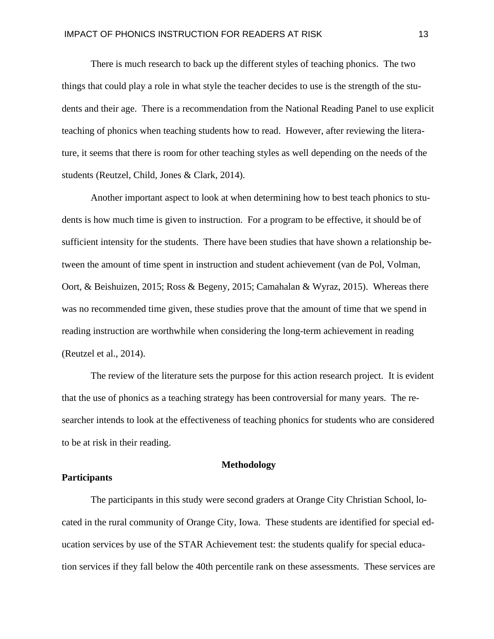There is much research to back up the different styles of teaching phonics. The two things that could play a role in what style the teacher decides to use is the strength of the students and their age. There is a recommendation from the National Reading Panel to use explicit teaching of phonics when teaching students how to read. However, after reviewing the literature, it seems that there is room for other teaching styles as well depending on the needs of the students (Reutzel, Child, Jones & Clark, 2014).

Another important aspect to look at when determining how to best teach phonics to students is how much time is given to instruction. For a program to be effective, it should be of sufficient intensity for the students. There have been studies that have shown a relationship between the amount of time spent in instruction and student achievement (van de Pol, Volman, Oort, & Beishuizen, 2015; Ross & Begeny, 2015; Camahalan & Wyraz, 2015). Whereas there was no recommended time given, these studies prove that the amount of time that we spend in reading instruction are worthwhile when considering the long-term achievement in reading (Reutzel et al., 2014).

The review of the literature sets the purpose for this action research project. It is evident that the use of phonics as a teaching strategy has been controversial for many years. The researcher intends to look at the effectiveness of teaching phonics for students who are considered to be at risk in their reading.

## **Methodology**

## **Participants**

The participants in this study were second graders at Orange City Christian School, located in the rural community of Orange City, Iowa. These students are identified for special education services by use of the STAR Achievement test: the students qualify for special education services if they fall below the 40th percentile rank on these assessments. These services are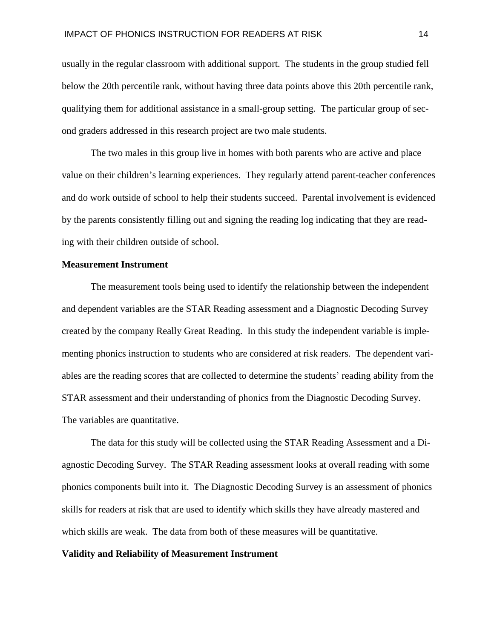usually in the regular classroom with additional support. The students in the group studied fell below the 20th percentile rank, without having three data points above this 20th percentile rank, qualifying them for additional assistance in a small-group setting. The particular group of second graders addressed in this research project are two male students.

The two males in this group live in homes with both parents who are active and place value on their children's learning experiences. They regularly attend parent-teacher conferences and do work outside of school to help their students succeed. Parental involvement is evidenced by the parents consistently filling out and signing the reading log indicating that they are reading with their children outside of school.

#### **Measurement Instrument**

The measurement tools being used to identify the relationship between the independent and dependent variables are the STAR Reading assessment and a Diagnostic Decoding Survey created by the company Really Great Reading. In this study the independent variable is implementing phonics instruction to students who are considered at risk readers. The dependent variables are the reading scores that are collected to determine the students' reading ability from the STAR assessment and their understanding of phonics from the Diagnostic Decoding Survey. The variables are quantitative.

The data for this study will be collected using the STAR Reading Assessment and a Diagnostic Decoding Survey. The STAR Reading assessment looks at overall reading with some phonics components built into it. The Diagnostic Decoding Survey is an assessment of phonics skills for readers at risk that are used to identify which skills they have already mastered and which skills are weak. The data from both of these measures will be quantitative.

## **Validity and Reliability of Measurement Instrument**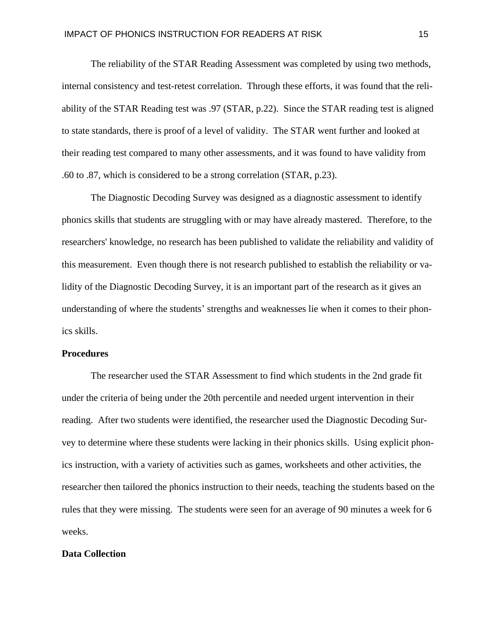The reliability of the STAR Reading Assessment was completed by using two methods, internal consistency and test-retest correlation. Through these efforts, it was found that the reliability of the STAR Reading test was .97 (STAR, p.22). Since the STAR reading test is aligned to state standards, there is proof of a level of validity. The STAR went further and looked at their reading test compared to many other assessments, and it was found to have validity from .60 to .87, which is considered to be a strong correlation (STAR, p.23).

The Diagnostic Decoding Survey was designed as a diagnostic assessment to identify phonics skills that students are struggling with or may have already mastered. Therefore, to the researchers' knowledge, no research has been published to validate the reliability and validity of this measurement. Even though there is not research published to establish the reliability or validity of the Diagnostic Decoding Survey, it is an important part of the research as it gives an understanding of where the students' strengths and weaknesses lie when it comes to their phonics skills.

## **Procedures**

The researcher used the STAR Assessment to find which students in the 2nd grade fit under the criteria of being under the 20th percentile and needed urgent intervention in their reading. After two students were identified, the researcher used the Diagnostic Decoding Survey to determine where these students were lacking in their phonics skills. Using explicit phonics instruction, with a variety of activities such as games, worksheets and other activities, the researcher then tailored the phonics instruction to their needs, teaching the students based on the rules that they were missing. The students were seen for an average of 90 minutes a week for 6 weeks.

## **Data Collection**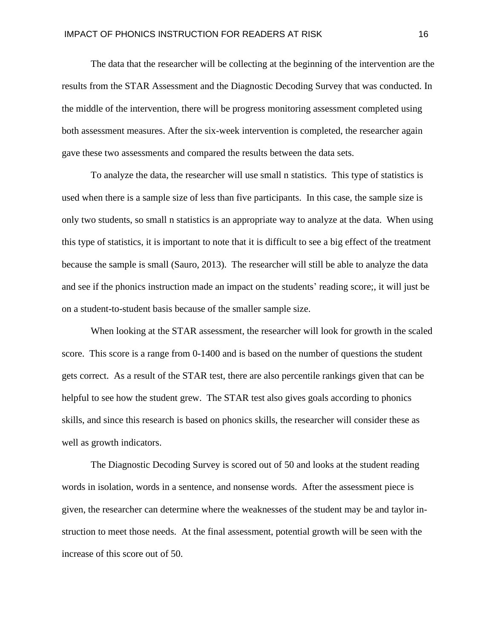The data that the researcher will be collecting at the beginning of the intervention are the results from the STAR Assessment and the Diagnostic Decoding Survey that was conducted. In the middle of the intervention, there will be progress monitoring assessment completed using both assessment measures. After the six-week intervention is completed, the researcher again gave these two assessments and compared the results between the data sets.

To analyze the data, the researcher will use small n statistics. This type of statistics is used when there is a sample size of less than five participants. In this case, the sample size is only two students, so small n statistics is an appropriate way to analyze at the data. When using this type of statistics, it is important to note that it is difficult to see a big effect of the treatment because the sample is small (Sauro, 2013). The researcher will still be able to analyze the data and see if the phonics instruction made an impact on the students' reading score;, it will just be on a student-to-student basis because of the smaller sample size.

When looking at the STAR assessment, the researcher will look for growth in the scaled score. This score is a range from 0-1400 and is based on the number of questions the student gets correct. As a result of the STAR test, there are also percentile rankings given that can be helpful to see how the student grew. The STAR test also gives goals according to phonics skills, and since this research is based on phonics skills, the researcher will consider these as well as growth indicators.

The Diagnostic Decoding Survey is scored out of 50 and looks at the student reading words in isolation, words in a sentence, and nonsense words. After the assessment piece is given, the researcher can determine where the weaknesses of the student may be and taylor instruction to meet those needs. At the final assessment, potential growth will be seen with the increase of this score out of 50.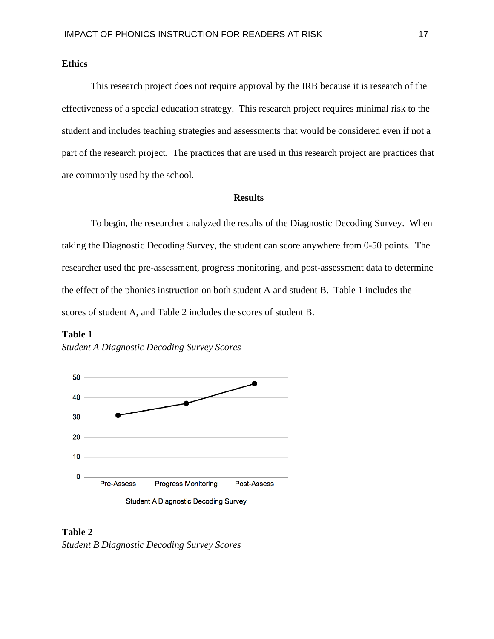## **Ethics**

This research project does not require approval by the IRB because it is research of the effectiveness of a special education strategy. This research project requires minimal risk to the student and includes teaching strategies and assessments that would be considered even if not a part of the research project. The practices that are used in this research project are practices that are commonly used by the school.

## **Results**

To begin, the researcher analyzed the results of the Diagnostic Decoding Survey. When taking the Diagnostic Decoding Survey, the student can score anywhere from 0-50 points. The researcher used the pre-assessment, progress monitoring, and post-assessment data to determine the effect of the phonics instruction on both student A and student B. Table 1 includes the scores of student A, and Table 2 includes the scores of student B.





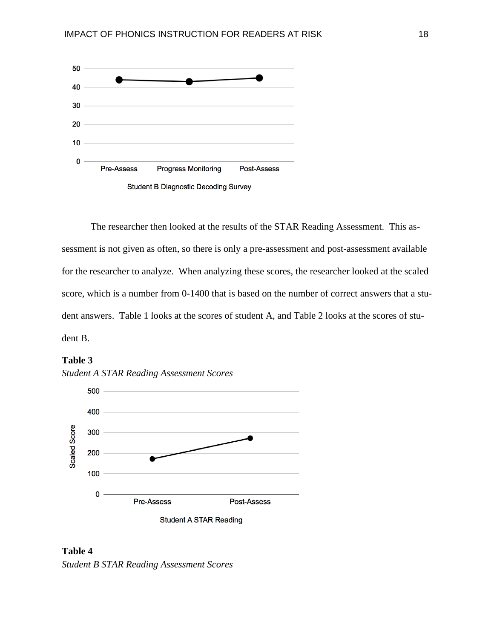

The researcher then looked at the results of the STAR Reading Assessment. This assessment is not given as often, so there is only a pre-assessment and post-assessment available for the researcher to analyze. When analyzing these scores, the researcher looked at the scaled score, which is a number from 0-1400 that is based on the number of correct answers that a student answers. Table 1 looks at the scores of student A, and Table 2 looks at the scores of student B.





**Table 4** *Student B STAR Reading Assessment Scores*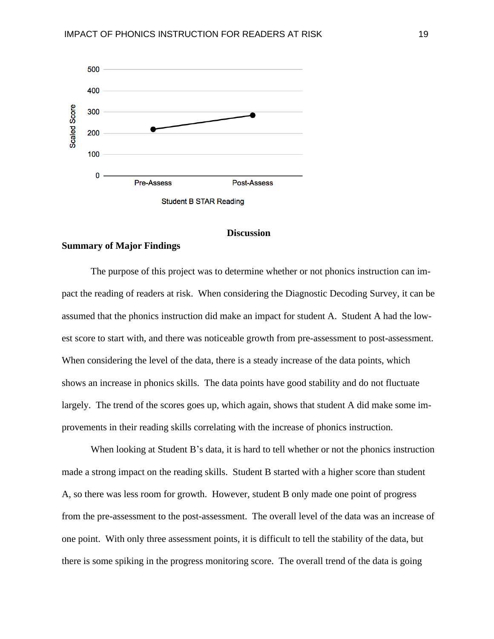

#### **Discussion**

#### **Summary of Major Findings**

The purpose of this project was to determine whether or not phonics instruction can impact the reading of readers at risk. When considering the Diagnostic Decoding Survey, it can be assumed that the phonics instruction did make an impact for student A. Student A had the lowest score to start with, and there was noticeable growth from pre-assessment to post-assessment. When considering the level of the data, there is a steady increase of the data points, which shows an increase in phonics skills. The data points have good stability and do not fluctuate largely. The trend of the scores goes up, which again, shows that student A did make some improvements in their reading skills correlating with the increase of phonics instruction.

When looking at Student B's data, it is hard to tell whether or not the phonics instruction made a strong impact on the reading skills. Student B started with a higher score than student A, so there was less room for growth. However, student B only made one point of progress from the pre-assessment to the post-assessment. The overall level of the data was an increase of one point. With only three assessment points, it is difficult to tell the stability of the data, but there is some spiking in the progress monitoring score. The overall trend of the data is going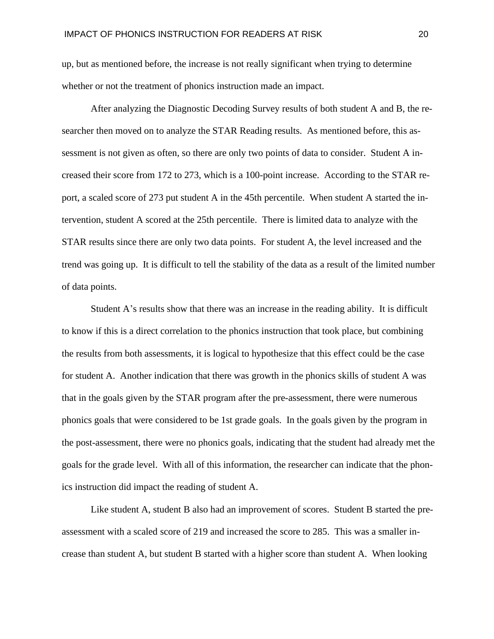up, but as mentioned before, the increase is not really significant when trying to determine whether or not the treatment of phonics instruction made an impact.

After analyzing the Diagnostic Decoding Survey results of both student A and B, the researcher then moved on to analyze the STAR Reading results. As mentioned before, this assessment is not given as often, so there are only two points of data to consider. Student A increased their score from 172 to 273, which is a 100-point increase. According to the STAR report, a scaled score of 273 put student A in the 45th percentile. When student A started the intervention, student A scored at the 25th percentile. There is limited data to analyze with the STAR results since there are only two data points. For student A, the level increased and the trend was going up. It is difficult to tell the stability of the data as a result of the limited number of data points.

Student A's results show that there was an increase in the reading ability. It is difficult to know if this is a direct correlation to the phonics instruction that took place, but combining the results from both assessments, it is logical to hypothesize that this effect could be the case for student A. Another indication that there was growth in the phonics skills of student A was that in the goals given by the STAR program after the pre-assessment, there were numerous phonics goals that were considered to be 1st grade goals. In the goals given by the program in the post-assessment, there were no phonics goals, indicating that the student had already met the goals for the grade level. With all of this information, the researcher can indicate that the phonics instruction did impact the reading of student A.

Like student A, student B also had an improvement of scores. Student B started the preassessment with a scaled score of 219 and increased the score to 285. This was a smaller increase than student A, but student B started with a higher score than student A. When looking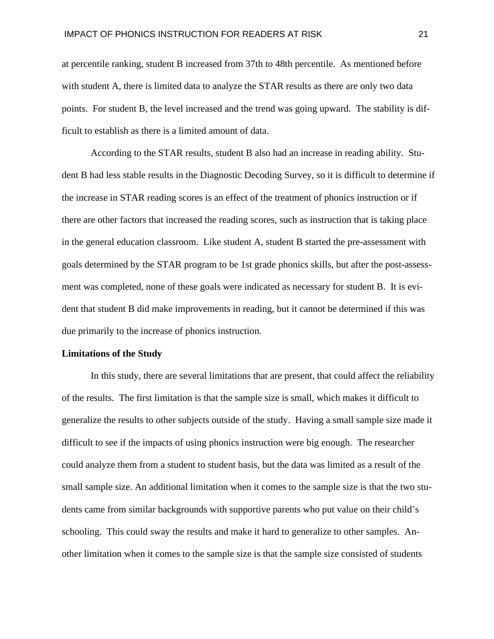at percentile ranking, student B increased from 37th to 48th percentile. As mentioned before with student A, there is limited data to analyze the STAR results as there are only two data points. For student B, the level increased and the trend was going upward. The stability is difficult to establish as there is a limited amount of data.

According to the STAR results, student B also had an increase in reading ability. Student B had less stable results in the Diagnostic Decoding Survey, so it is difficult to determine if the increase in STAR reading scores is an effect of the treatment of phonics instruction or if there are other factors that increased the reading scores, such as instruction that is taking place in the general education classroom. Like student A, student B started the pre-assessment with goals determined by the STAR program to be 1st grade phonics skills, but after the post-assessment was completed, none of these goals were indicated as necessary for student B. It is evident that student B did make improvements in reading, but it cannot be determined if this was due primarily to the increase of phonics instruction.

#### **Limitations of the Study**

In this study, there are several limitations that are present, that could affect the reliability of the results. The first limitation is that the sample size is small, which makes it difficult to generalize the results to other subjects outside of the study. Having a small sample size made it difficult to see if the impacts of using phonics instruction were big enough. The researcher could analyze them from a student to student basis, but the data was limited as a result of the small sample size. An additional limitation when it comes to the sample size is that the two students came from similar backgrounds with supportive parents who put value on their child's schooling. This could sway the results and make it hard to generalize to other samples. Another limitation when it comes to the sample size is that the sample size consisted of students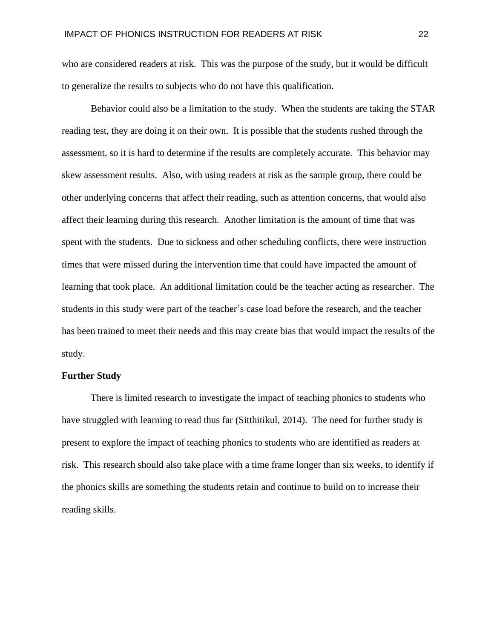who are considered readers at risk. This was the purpose of the study, but it would be difficult to generalize the results to subjects who do not have this qualification.

Behavior could also be a limitation to the study. When the students are taking the STAR reading test, they are doing it on their own. It is possible that the students rushed through the assessment, so it is hard to determine if the results are completely accurate. This behavior may skew assessment results. Also, with using readers at risk as the sample group, there could be other underlying concerns that affect their reading, such as attention concerns, that would also affect their learning during this research. Another limitation is the amount of time that was spent with the students. Due to sickness and other scheduling conflicts, there were instruction times that were missed during the intervention time that could have impacted the amount of learning that took place. An additional limitation could be the teacher acting as researcher. The students in this study were part of the teacher's case load before the research, and the teacher has been trained to meet their needs and this may create bias that would impact the results of the study.

## **Further Study**

There is limited research to investigate the impact of teaching phonics to students who have struggled with learning to read thus far (Sitthitikul, 2014). The need for further study is present to explore the impact of teaching phonics to students who are identified as readers at risk. This research should also take place with a time frame longer than six weeks, to identify if the phonics skills are something the students retain and continue to build on to increase their reading skills.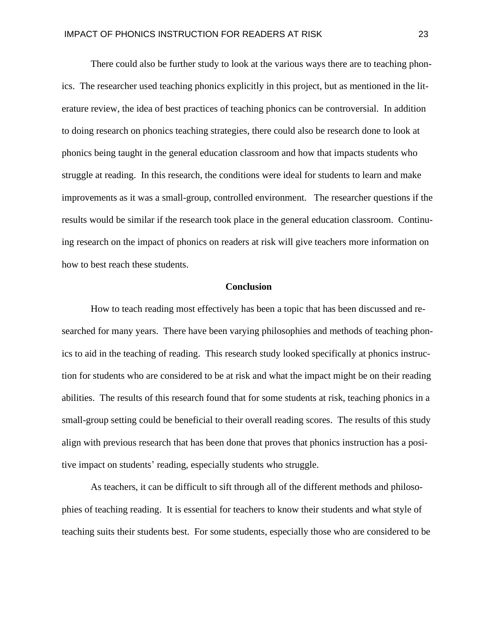There could also be further study to look at the various ways there are to teaching phonics. The researcher used teaching phonics explicitly in this project, but as mentioned in the literature review, the idea of best practices of teaching phonics can be controversial. In addition to doing research on phonics teaching strategies, there could also be research done to look at phonics being taught in the general education classroom and how that impacts students who struggle at reading. In this research, the conditions were ideal for students to learn and make improvements as it was a small-group, controlled environment. The researcher questions if the results would be similar if the research took place in the general education classroom. Continuing research on the impact of phonics on readers at risk will give teachers more information on how to best reach these students.

## **Conclusion**

How to teach reading most effectively has been a topic that has been discussed and researched for many years. There have been varying philosophies and methods of teaching phonics to aid in the teaching of reading. This research study looked specifically at phonics instruction for students who are considered to be at risk and what the impact might be on their reading abilities. The results of this research found that for some students at risk, teaching phonics in a small-group setting could be beneficial to their overall reading scores. The results of this study align with previous research that has been done that proves that phonics instruction has a positive impact on students' reading, especially students who struggle.

As teachers, it can be difficult to sift through all of the different methods and philosophies of teaching reading. It is essential for teachers to know their students and what style of teaching suits their students best. For some students, especially those who are considered to be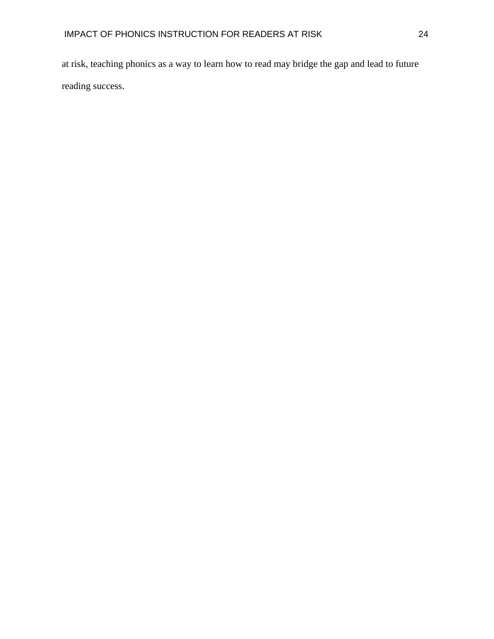at risk, teaching phonics as a way to learn how to read may bridge the gap and lead to future reading success.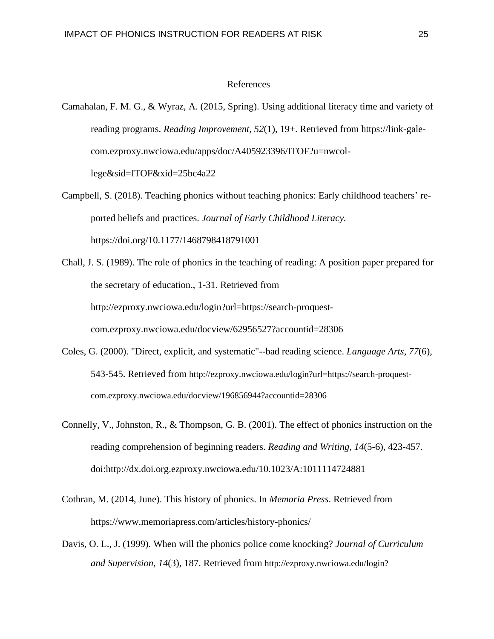## References

- Camahalan, F. M. G., & Wyraz, A. (2015, Spring). Using additional literacy time and variety of reading programs. *Reading Improvement*, *52*(1), 19+. Retrieved from https://link-galecom.ezproxy.nwciowa.edu/apps/doc/A405923396/ITOF?u=nwcollege&sid=ITOF&xid=25bc4a22
- Campbell, S. (2018). Teaching phonics without teaching phonics: Early childhood teachers' reported beliefs and practices. *Journal of Early Childhood Literacy.* https://doi.org/10.1177/1468798418791001
- Chall, J. S. (1989). The role of phonics in the teaching of reading: A position paper prepared for the secretary of education., 1-31. Retrieved from http://ezproxy.nwciowa.edu/login?url=https://search-proquestcom.ezproxy.nwciowa.edu/docview/62956527?accountid=28306
- Coles, G. (2000). "Direct, explicit, and systematic"--bad reading science. *Language Arts, 77*(6), 543-545. Retrieved from http://ezproxy.nwciowa.edu/login?url=https://search-proquestcom.ezproxy.nwciowa.edu/docview/196856944?accountid=28306
- Connelly, V., Johnston, R., & Thompson, G. B. (2001). The effect of phonics instruction on the reading comprehension of beginning readers. *Reading and Writing, 14*(5-6), 423-457. doi:http://dx.doi.org.ezproxy.nwciowa.edu/10.1023/A:1011114724881
- Cothran, M. (2014, June). This history of phonics. In *Memoria Press*. Retrieved from https://www.memoriapress.com/articles/history-phonics/
- Davis, O. L., J. (1999). When will the phonics police come knocking? *Journal of Curriculum and Supervision, 14*(3), 187. Retrieved from http://ezproxy.nwciowa.edu/login?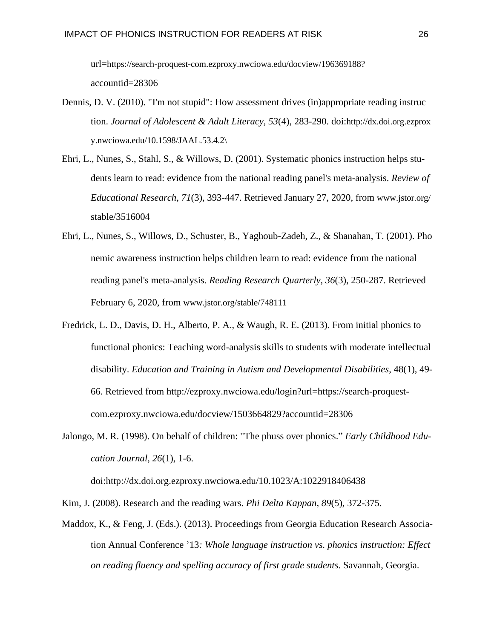url=https://search-proquest-com.ezproxy.nwciowa.edu/docview/196369188? accountid=28306

- Dennis, D. V. (2010). "I'm not stupid": How assessment drives (in)appropriate reading instruc tion. *Journal of Adolescent & Adult Literacy, 53*(4), 283-290. doi:http://dx.doi.org.ezprox y.nwciowa.edu/10.1598/JAAL.53.4.2\
- Ehri, L., Nunes, S., Stahl, S., & Willows, D. (2001). Systematic phonics instruction helps students learn to read: evidence from the national reading panel's meta-analysis. *Review of Educational Research, 71*(3), 393-447. Retrieved January 27, 2020, from www.jstor.org/ stable/3516004
- Ehri, L., Nunes, S., Willows, D., Schuster, B., Yaghoub-Zadeh, Z., & Shanahan, T. (2001). Pho nemic awareness instruction helps children learn to read: evidence from the national reading panel's meta-analysis. *Reading Research Quarterly, 36*(3), 250-287. Retrieved February 6, 2020, from www.jstor.org/stable/748111
- Fredrick, L. D., Davis, D. H., Alberto, P. A., & Waugh, R. E. (2013). From initial phonics to functional phonics: Teaching word-analysis skills to students with moderate intellectual disability. *Education and Training in Autism and Developmental Disabilities*, 48(1), 49- 66. Retrieved from http://ezproxy.nwciowa.edu/login?url=https://search-proquestcom.ezproxy.nwciowa.edu/docview/1503664829?accountid=28306
- Jalongo, M. R. (1998). On behalf of children: "The phuss over phonics." *Early Childhood Education Journal, 26*(1), 1-6.

doi:http://dx.doi.org.ezproxy.nwciowa.edu/10.1023/A:1022918406438

Kim, J. (2008). Research and the reading wars. *Phi Delta Kappan, 89*(5), 372-375.

Maddox, K., & Feng, J. (Eds.). (2013). Proceedings from Georgia Education Research Association Annual Conference '13*: Whole language instruction vs. phonics instruction: Effect on reading fluency and spelling accuracy of first grade students*. Savannah, Georgia.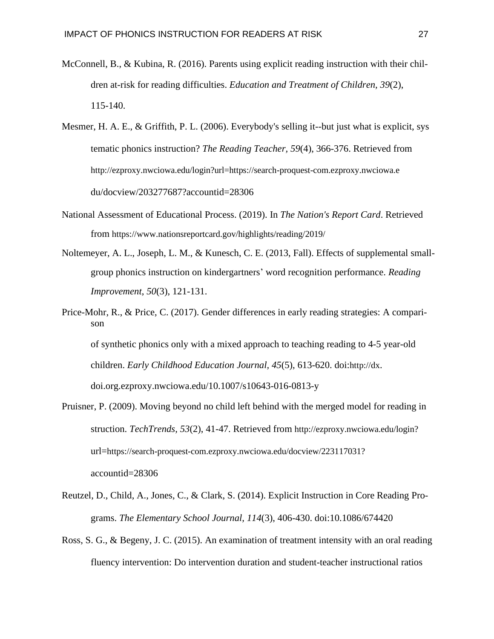- McConnell, B., & Kubina, R. (2016). Parents using explicit reading instruction with their children at-risk for reading difficulties. *Education and Treatment of Children, 39*(2), 115-140.
- Mesmer, H. A. E., & Griffith, P. L. (2006). Everybody's selling it--but just what is explicit, sys tematic phonics instruction? *The Reading Teacher, 59*(4), 366-376. Retrieved from http://ezproxy.nwciowa.edu/login?url=https://search-proquest-com.ezproxy.nwciowa.e du/docview/203277687?accountid=28306
- National Assessment of Educational Process. (2019). In *The Nation's Report Card*. Retrieved from https://www.nationsreportcard.gov/highlights/reading/2019/
- Noltemeyer, A. L., Joseph, L. M., & Kunesch, C. E. (2013, Fall). Effects of supplemental smallgroup phonics instruction on kindergartners' word recognition performance. *Reading Improvement*, *50*(3), 121-131.
- Price-Mohr, R., & Price, C. (2017). Gender differences in early reading strategies: A comparison of synthetic phonics only with a mixed approach to teaching reading to 4-5 year-old children. *Early Childhood Education Journal, 45*(5), 613-620. doi:http://dx. doi.org.ezproxy.nwciowa.edu/10.1007/s10643-016-0813-y
- Pruisner, P. (2009). Moving beyond no child left behind with the merged model for reading in struction. *TechTrends, 53*(2), 41-47. Retrieved from http://ezproxy.nwciowa.edu/login? url=https://search-proquest-com.ezproxy.nwciowa.edu/docview/223117031? accountid=28306
- Reutzel, D., Child, A., Jones, C., & Clark, S. (2014). Explicit Instruction in Core Reading Programs. *The Elementary School Journal, 114*(3), 406-430. doi:10.1086/674420
- Ross, S. G., & Begeny, J. C. (2015). An examination of treatment intensity with an oral reading fluency intervention: Do intervention duration and student-teacher instructional ratios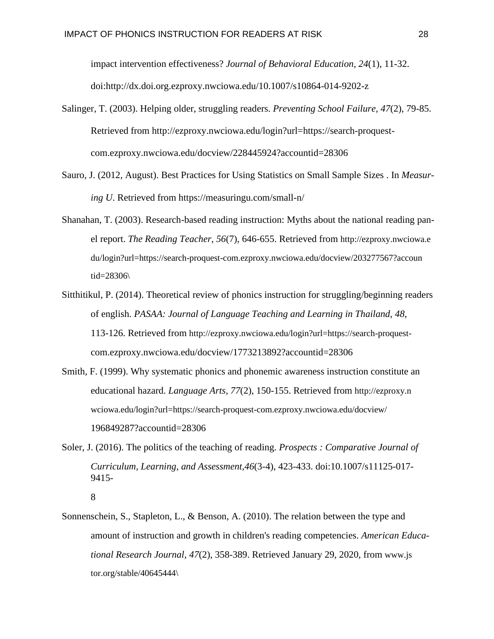impact intervention effectiveness? *Journal of Behavioral Education, 24*(1), 11-32. doi:http://dx.doi.org.ezproxy.nwciowa.edu/10.1007/s10864-014-9202-z

- Salinger, T. (2003). Helping older, struggling readers. *Preventing School Failure, 47*(2), 79-85. Retrieved from http://ezproxy.nwciowa.edu/login?url=https://search-proquestcom.ezproxy.nwciowa.edu/docview/228445924?accountid=28306
- Sauro, J. (2012, August). Best Practices for Using Statistics on Small Sample Sizes . In *Measuring U*. Retrieved from https://measuringu.com/small-n/
- Shanahan, T. (2003). Research-based reading instruction: Myths about the national reading panel report. *The Reading Teacher, 56*(7), 646-655. Retrieved from http://ezproxy.nwciowa.e du/login?url=https://search-proquest-com.ezproxy.nwciowa.edu/docview/203277567?accoun tid=28306\
- Sitthitikul, P. (2014). Theoretical review of phonics instruction for struggling/beginning readers of english. *PASAA: Journal of Language Teaching and Learning in Thailand, 48*, 113-126. Retrieved from http://ezproxy.nwciowa.edu/login?url=https://search-proquestcom.ezproxy.nwciowa.edu/docview/1773213892?accountid=28306
- Smith, F. (1999). Why systematic phonics and phonemic awareness instruction constitute an educational hazard. *Language Arts, 77*(2), 150-155. Retrieved from http://ezproxy.n wciowa.edu/login?url=https://search-proquest-com.ezproxy.nwciowa.edu/docview/ 196849287?accountid=28306
- Soler, J. (2016). The politics of the teaching of reading. *Prospects : Comparative Journal of Curriculum, Learning, and Assessment,46*(3-4), 423-433. doi:10.1007/s11125-017- 9415-

Sonnenschein, S., Stapleton, L., & Benson, A. (2010). The relation between the type and amount of instruction and growth in children's reading competencies. *American Educational Research Journal, 47*(2), 358-389. Retrieved January 29, 2020, from www.js tor.org/stable/40645444\

<sup>8</sup>